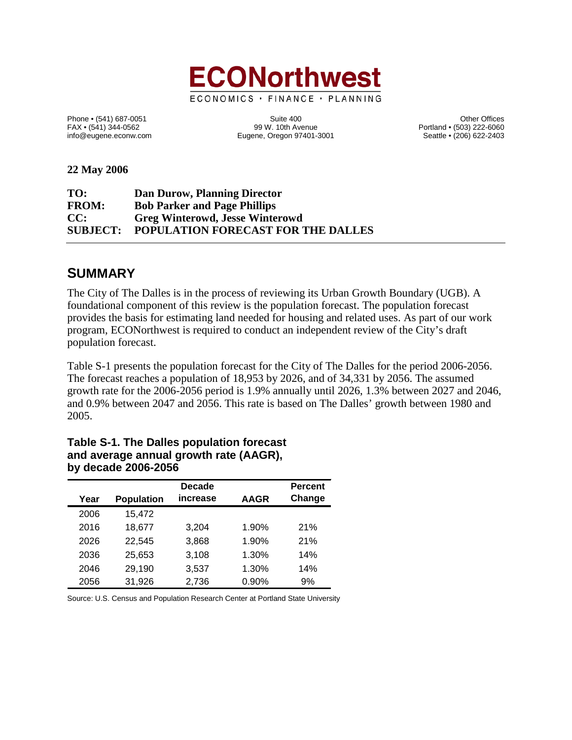

Phone • (541) 687-0051 Cherner (541) 687-0051 Suite 400 Suite 400<br>FAX • (541) 344-0562 (503) 222-6060 Suite 400 Other Offices FAX • (541) 344-0562 Portland • (503) 222-6060<br>
FAX • (541) 344-0562 **Portland • (503) 222-6060**<br>
Eugene, Oregon 97401-3001 Portland • (206) 622-2403 Eugene, Oregon 97401-3001

**22 May 2006**

| TO:          | Dan Durow, Planning Director                |
|--------------|---------------------------------------------|
| <b>FROM:</b> | <b>Bob Parker and Page Phillips</b>         |
| CC:          | <b>Greg Winterowd, Jesse Winterowd</b>      |
|              | SUBJECT: POPULATION FORECAST FOR THE DALLES |

## **SUMMARY**

The City of The Dalles is in the process of reviewing its Urban Growth Boundary (UGB). A foundational component of this review is the population forecast. The population forecast provides the basis for estimating land needed for housing and related uses. As part of our work program, ECONorthwest is required to conduct an independent review of the City's draft population forecast.

Table S-1 presents the population forecast for the City of The Dalles for the period 2006-2056. The forecast reaches a population of 18,953 by 2026, and of 34,331 by 2056. The assumed growth rate for the 2006-2056 period is 1.9% annually until 2026, 1.3% between 2027 and 2046, and 0.9% between 2047 and 2056. This rate is based on The Dalles' growth between 1980 and 2005.

| Year | <b>Population</b> | <b>Decade</b><br>increase | <b>AAGR</b> | <b>Percent</b><br>Change |
|------|-------------------|---------------------------|-------------|--------------------------|
| 2006 | 15,472            |                           |             |                          |
| 2016 | 18,677            | 3,204                     | 1.90%       | 21%                      |
| 2026 | 22.545            | 3,868                     | 1.90%       | 21%                      |
| 2036 | 25,653            | 3,108                     | 1.30%       | 14%                      |
| 2046 | 29,190            | 3,537                     | 1.30%       | 14%                      |
| 2056 | 31,926            | 2,736                     | 0.90%       | 9%                       |

#### **Table S-1. The Dalles population forecast and average annual growth rate (AAGR), by decade 2006-2056**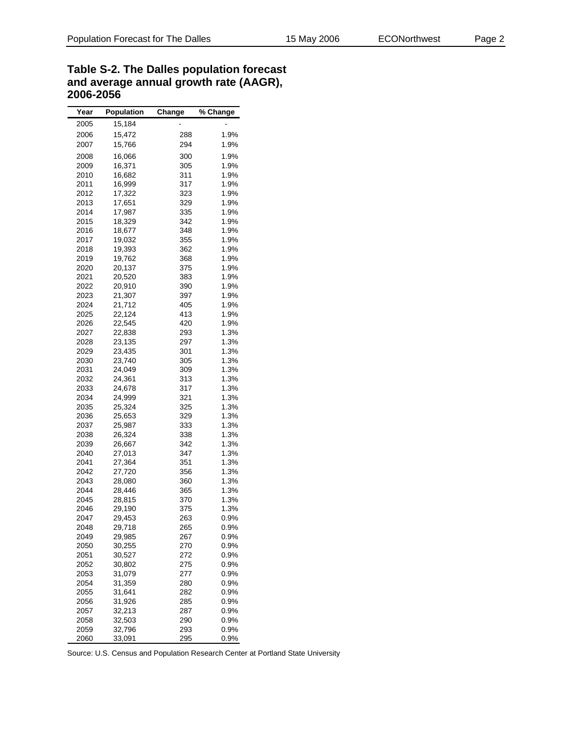| Table S-2. The Dalles population forecast |
|-------------------------------------------|
| and average annual growth rate (AAGR),    |
| 2006-2056                                 |

| Year | <b>Population</b> | Change | % Change |
|------|-------------------|--------|----------|
| 2005 | 15,184            |        |          |
| 2006 | 15,472            | 288    | 1.9%     |
|      |                   |        |          |
| 2007 | 15,766            | 294    | 1.9%     |
| 2008 | 16,066            | 300    | 1.9%     |
| 2009 | 16,371            | 305    | 1.9%     |
| 2010 | 16,682            | 311    | 1.9%     |
| 2011 | 16,999            | 317    | 1.9%     |
| 2012 | 17,322            | 323    | 1.9%     |
| 2013 | 17,651            | 329    | 1.9%     |
| 2014 | 17,987            | 335    | 1.9%     |
| 2015 | 18,329            | 342    | 1.9%     |
|      |                   |        | 1.9%     |
| 2016 | 18,677            | 348    |          |
| 2017 | 19,032            | 355    | 1.9%     |
| 2018 | 19,393            | 362    | 1.9%     |
| 2019 | 19,762            | 368    | 1.9%     |
| 2020 | 20,137            | 375    | 1.9%     |
| 2021 | 20,520            | 383    | 1.9%     |
| 2022 | 20,910            | 390    | 1.9%     |
| 2023 | 21,307            | 397    | 1.9%     |
| 2024 | 21,712            | 405    | 1.9%     |
| 2025 | 22,124            | 413    | 1.9%     |
| 2026 | 22,545            | 420    | 1.9%     |
| 2027 | 22,838            | 293    | 1.3%     |
| 2028 | 23,135            | 297    | 1.3%     |
| 2029 | 23,435            | 301    | 1.3%     |
| 2030 | 23,740            | 305    | 1.3%     |
| 2031 | 24,049            |        | 1.3%     |
|      |                   | 309    | 1.3%     |
| 2032 | 24,361            | 313    |          |
| 2033 | 24,678            | 317    | 1.3%     |
| 2034 | 24,999            | 321    | 1.3%     |
| 2035 | 25,324            | 325    | 1.3%     |
| 2036 | 25,653            | 329    | 1.3%     |
| 2037 | 25,987            | 333    | 1.3%     |
| 2038 | 26,324            | 338    | 1.3%     |
| 2039 | 26,667            | 342    | 1.3%     |
| 2040 | 27,013            | 347    | 1.3%     |
| 2041 | 27,364            | 351    | 1.3%     |
| 2042 | 27,720            | 356    | 1.3%     |
| 2043 | 28,080            | 360    | 1.3%     |
| 2044 | 28,446            | 365    | 1.3%     |
| 2045 | 28,815            | 370    | 1.3%     |
| 2046 | 29,190            | 375    | 1.3%     |
| 2047 | 29,453            | 263    | 0.9%     |
| 2048 | 29,718            | 265    | $0.9\%$  |
| 2049 | 29,985            | 267    | 0.9%     |
|      |                   |        |          |
| 2050 | 30,255            | 270    | 0.9%     |
| 2051 | 30,527            | 272    | 0.9%     |
| 2052 | 30,802            | 275    | 0.9%     |
| 2053 | 31,079            | 277    | 0.9%     |
| 2054 | 31,359            | 280    | 0.9%     |
| 2055 | 31,641            | 282    | 0.9%     |
| 2056 | 31,926            | 285    | 0.9%     |
| 2057 | 32,213            | 287    | $0.9\%$  |
| 2058 | 32,503            | 290    | 0.9%     |
| 2059 | 32,796            | 293    | 0.9%     |
| 2060 | 33,091            | 295    | 0.9%     |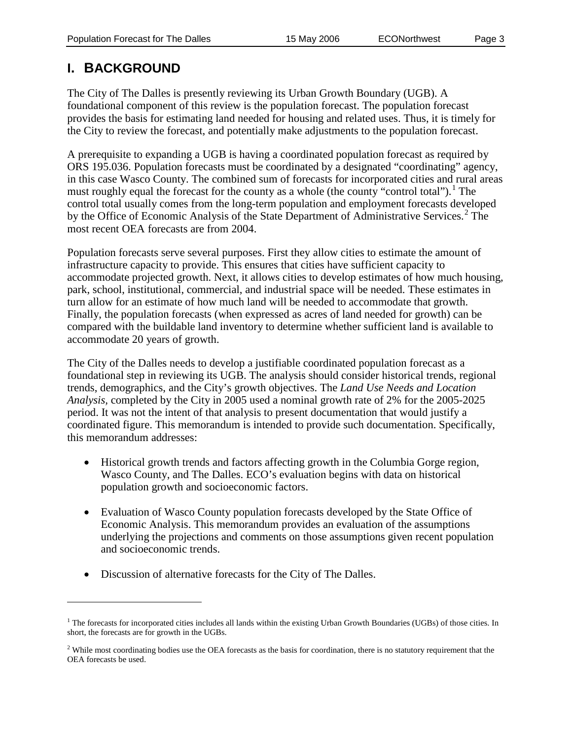# **I. BACKGROUND**

 $\overline{a}$ 

The City of The Dalles is presently reviewing its Urban Growth Boundary (UGB). A foundational component of this review is the population forecast. The population forecast provides the basis for estimating land needed for housing and related uses. Thus, it is timely for the City to review the forecast, and potentially make adjustments to the population forecast.

A prerequisite to expanding a UGB is having a coordinated population forecast as required by ORS 195.036. Population forecasts must be coordinated by a designated "coordinating" agency, in this case Wasco County. The combined sum of forecasts for incorporated cities and rural areas must roughly equal the forecast for the county as a whole (the county "control total").<sup>[1](#page-3-0)</sup> The control total usually comes from the long-term population and employment forecasts developed by the Office of Economic Analysis of the State Department of Administrative Services.<sup>[2](#page-3-1)</sup> The most recent OEA forecasts are from 2004.

Population forecasts serve several purposes. First they allow cities to estimate the amount of infrastructure capacity to provide. This ensures that cities have sufficient capacity to accommodate projected growth. Next, it allows cities to develop estimates of how much housing, park, school, institutional, commercial, and industrial space will be needed. These estimates in turn allow for an estimate of how much land will be needed to accommodate that growth. Finally, the population forecasts (when expressed as acres of land needed for growth) can be compared with the buildable land inventory to determine whether sufficient land is available to accommodate 20 years of growth.

The City of the Dalles needs to develop a justifiable coordinated population forecast as a foundational step in reviewing its UGB. The analysis should consider historical trends, regional trends, demographics, and the City's growth objectives. The *Land Use Needs and Location Analysis,* completed by the City in 2005 used a nominal growth rate of 2% for the 2005-2025 period. It was not the intent of that analysis to present documentation that would justify a coordinated figure. This memorandum is intended to provide such documentation. Specifically, this memorandum addresses:

- Historical growth trends and factors affecting growth in the Columbia Gorge region, Wasco County, and The Dalles. ECO's evaluation begins with data on historical population growth and socioeconomic factors.
- Evaluation of Wasco County population forecasts developed by the State Office of Economic Analysis. This memorandum provides an evaluation of the assumptions underlying the projections and comments on those assumptions given recent population and socioeconomic trends.
- Discussion of alternative forecasts for the City of The Dalles.

<sup>&</sup>lt;sup>1</sup> The forecasts for incorporated cities includes all lands within the existing Urban Growth Boundaries (UGBs) of those cities. In short, the forecasts are for growth in the UGBs.

 $<sup>2</sup>$  While most coordinating bodies use the OEA forecasts as the basis for coordination, there is no statutory requirement that the</sup> OEA forecasts be used.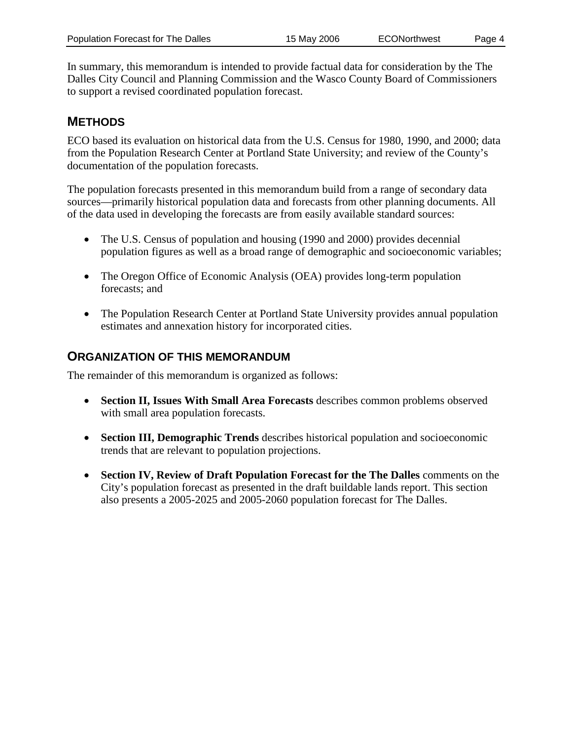In summary, this memorandum is intended to provide factual data for consideration by the The Dalles City Council and Planning Commission and the Wasco County Board of Commissioners to support a revised coordinated population forecast.

## **METHODS**

ECO based its evaluation on historical data from the U.S. Census for 1980, 1990, and 2000; data from the Population Research Center at Portland State University; and review of the County's documentation of the population forecasts.

The population forecasts presented in this memorandum build from a range of secondary data sources—primarily historical population data and forecasts from other planning documents. All of the data used in developing the forecasts are from easily available standard sources:

- The U.S. Census of population and housing (1990 and 2000) provides decennial population figures as well as a broad range of demographic and socioeconomic variables;
- The Oregon Office of Economic Analysis (OEA) provides long-term population forecasts; and
- The Population Research Center at Portland State University provides annual population estimates and annexation history for incorporated cities.

### **ORGANIZATION OF THIS MEMORANDUM**

The remainder of this memorandum is organized as follows:

- **Section II, Issues With Small Area Forecasts** describes common problems observed with small area population forecasts.
- **Section III, Demographic Trends** describes historical population and socioeconomic trends that are relevant to population projections.
- <span id="page-3-1"></span><span id="page-3-0"></span>• **Section IV, Review of Draft Population Forecast for the The Dalles** comments on the City's population forecast as presented in the draft buildable lands report. This section also presents a 2005-2025 and 2005-2060 population forecast for The Dalles.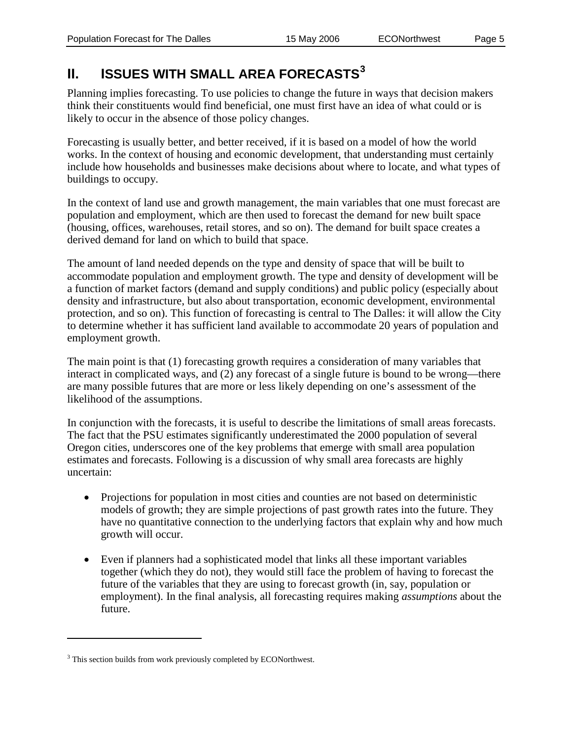# **II. ISSUES WITH SMALL AREA FORECASTS[3](#page-5-0)**

Planning implies forecasting. To use policies to change the future in ways that decision makers think their constituents would find beneficial, one must first have an idea of what could or is likely to occur in the absence of those policy changes.

Forecasting is usually better, and better received, if it is based on a model of how the world works. In the context of housing and economic development, that understanding must certainly include how households and businesses make decisions about where to locate, and what types of buildings to occupy.

In the context of land use and growth management, the main variables that one must forecast are population and employment, which are then used to forecast the demand for new built space (housing, offices, warehouses, retail stores, and so on). The demand for built space creates a derived demand for land on which to build that space.

The amount of land needed depends on the type and density of space that will be built to accommodate population and employment growth. The type and density of development will be a function of market factors (demand and supply conditions) and public policy (especially about density and infrastructure, but also about transportation, economic development, environmental protection, and so on). This function of forecasting is central to The Dalles: it will allow the City to determine whether it has sufficient land available to accommodate 20 years of population and employment growth.

The main point is that (1) forecasting growth requires a consideration of many variables that interact in complicated ways, and (2) any forecast of a single future is bound to be wrong—there are many possible futures that are more or less likely depending on one's assessment of the likelihood of the assumptions.

In conjunction with the forecasts, it is useful to describe the limitations of small areas forecasts. The fact that the PSU estimates significantly underestimated the 2000 population of several Oregon cities, underscores one of the key problems that emerge with small area population estimates and forecasts. Following is a discussion of why small area forecasts are highly uncertain:

- Projections for population in most cities and counties are not based on deterministic models of growth; they are simple projections of past growth rates into the future. They have no quantitative connection to the underlying factors that explain why and how much growth will occur.
- Even if planners had a sophisticated model that links all these important variables together (which they do not), they would still face the problem of having to forecast the future of the variables that they are using to forecast growth (in, say, population or employment). In the final analysis, all forecasting requires making *assumptions* about the future.

 $\overline{a}$ 

<sup>&</sup>lt;sup>3</sup> This section builds from work previously completed by ECONorthwest.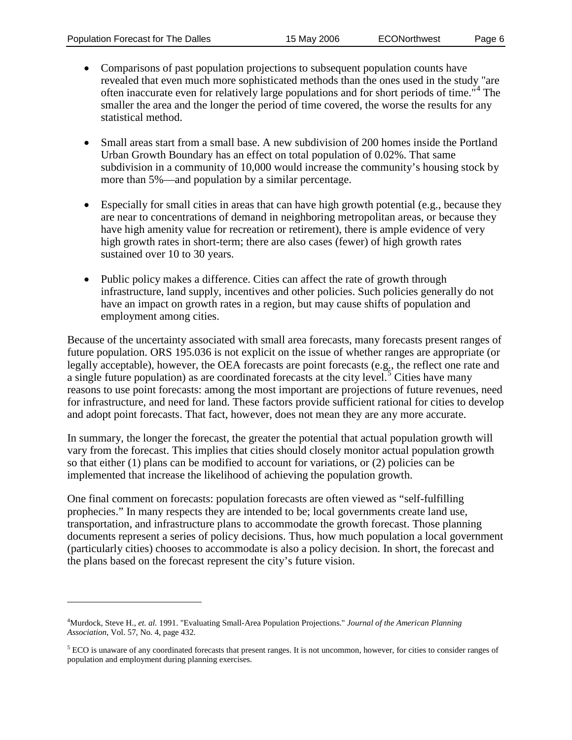$\overline{a}$ 

- Comparisons of past population projections to subsequent population counts have revealed that even much more sophisticated methods than the ones used in the study "are often inaccurate even for relatively large populations and for short periods of time."<sup>[4](#page-6-0)</sup> The smaller the area and the longer the period of time covered, the worse the results for any statistical method.
- Small areas start from a small base. A new subdivision of 200 homes inside the Portland Urban Growth Boundary has an effect on total population of 0.02%. That same subdivision in a community of 10,000 would increase the community's housing stock by more than 5%—and population by a similar percentage.
- Especially for small cities in areas that can have high growth potential (e.g., because they are near to concentrations of demand in neighboring metropolitan areas, or because they have high amenity value for recreation or retirement), there is ample evidence of very high growth rates in short-term; there are also cases (fewer) of high growth rates sustained over 10 to 30 years.
- Public policy makes a difference. Cities can affect the rate of growth through infrastructure, land supply, incentives and other policies. Such policies generally do not have an impact on growth rates in a region, but may cause shifts of population and employment among cities.

Because of the uncertainty associated with small area forecasts, many forecasts present ranges of future population. ORS 195.036 is not explicit on the issue of whether ranges are appropriate (or legally acceptable), however, the OEA forecasts are point forecasts (e.g., the reflect one rate and a single future population) as are coordinated forecasts at the city level.<sup>[5](#page-6-1)</sup> Cities have many reasons to use point forecasts: among the most important are projections of future revenues, need for infrastructure, and need for land. These factors provide sufficient rational for cities to develop and adopt point forecasts. That fact, however, does not mean they are any more accurate.

In summary, the longer the forecast, the greater the potential that actual population growth will vary from the forecast. This implies that cities should closely monitor actual population growth so that either (1) plans can be modified to account for variations, or (2) policies can be implemented that increase the likelihood of achieving the population growth.

One final comment on forecasts: population forecasts are often viewed as "self-fulfilling prophecies." In many respects they are intended to be; local governments create land use, transportation, and infrastructure plans to accommodate the growth forecast. Those planning documents represent a series of policy decisions. Thus, how much population a local government (particularly cities) chooses to accommodate is also a policy decision. In short, the forecast and the plans based on the forecast represent the city's future vision.

<sup>4</sup> Murdock, Steve H., *et. al.* 1991. "Evaluating Small-Area Population Projections." *Journal of the American Planning Association*, Vol. 57, No. 4, page 432.

<span id="page-5-0"></span><sup>5</sup> ECO is unaware of any coordinated forecasts that present ranges. It is not uncommon, however, for cities to consider ranges of population and employment during planning exercises.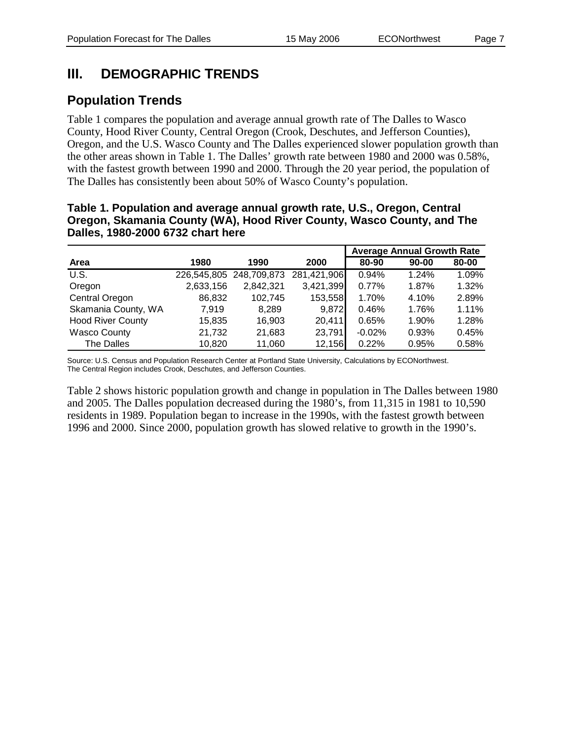# **III. DEMOGRAPHIC TRENDS**

# **Population Trends**

Table 1 compares the population and average annual growth rate of The Dalles to Wasco County, Hood River County, Central Oregon (Crook, Deschutes, and Jefferson Counties), Oregon, and the U.S. Wasco County and The Dalles experienced slower population growth than the other areas shown in Table 1. The Dalles' growth rate between 1980 and 2000 was 0.58%, with the fastest growth between 1990 and 2000. Through the 20 year period, the population of The Dalles has consistently been about 50% of Wasco County's population.

### **Table 1. Population and average annual growth rate, U.S., Oregon, Central Oregon, Skamania County (WA), Hood River County, Wasco County, and The Dalles, 1980-2000 6732 chart here**

|                            |           |                                     |           |          | <b>Average Annual Growth Rate</b> |          |
|----------------------------|-----------|-------------------------------------|-----------|----------|-----------------------------------|----------|
| Area                       | 1980      | 1990                                | 2000      | 80-90    | $90 - 00$                         | 80-00    |
| $\overline{\mathsf{U.S.}}$ |           | 226,545,805 248,709,873 281,421,906 |           | 0.94%    | 1.24%                             | 1.09%    |
| Oregon                     | 2,633,156 | 2,842,321                           | 3,421,399 | 0.77%    | 1.87%                             | 1.32%    |
| Central Oregon             | 86,832    | 102,745                             | 153,558   | 1.70%    | 4.10%                             | 2.89%    |
| Skamania County, WA        | 7,919     | 8,289                               | 9,872     | 0.46%    | 1.76%                             | $1.11\%$ |
| <b>Hood River County</b>   | 15,835    | 16.903                              | 20,411    | 0.65%    | 1.90%                             | 1.28%    |
| <b>Wasco County</b>        | 21,732    | 21,683                              | 23,791    | $-0.02%$ | 0.93%                             | 0.45%    |
| The Dalles                 | 10,820    | 11,060                              | 12,156    | 0.22%    | 0.95%                             | 0.58%    |

Source: U.S. Census and Population Research Center at Portland State University, Calculations by ECONorthwest. The Central Region includes Crook, Deschutes, and Jefferson Counties.

<span id="page-6-1"></span><span id="page-6-0"></span>Table 2 shows historic population growth and change in population in The Dalles between 1980 and 2005. The Dalles population decreased during the 1980's, from 11,315 in 1981 to 10,590 residents in 1989. Population began to increase in the 1990s, with the fastest growth between 1996 and 2000. Since 2000, population growth has slowed relative to growth in the 1990's.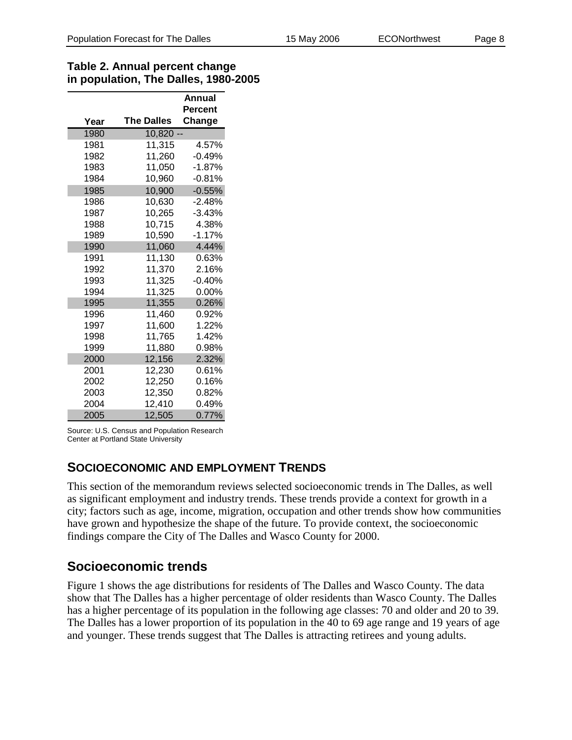### **Table 2. Annual percent change in population, The Dalles, 1980-2005**

|      |                   | Annual   |
|------|-------------------|----------|
|      |                   | Percent  |
| Year | <b>The Dalles</b> | Change   |
| 1980 | $10,820 -$        |          |
| 1981 | 11,315            | 4.57%    |
| 1982 | 11,260            | $-0.49%$ |
| 1983 | 11,050            | -1.87%   |
| 1984 | 10,960            | $-0.81%$ |
| 1985 | 10,900            | $-0.55%$ |
| 1986 | 10,630            | -2.48%   |
| 1987 | 10,265            | -3.43%   |
| 1988 | 10,715            | 4.38%    |
| 1989 | 10,590            | $-1.17%$ |
| 1990 | 11,060            | 4.44%    |
| 1991 | 11,130            | 0.63%    |
| 1992 | 11,370            | 2.16%    |
| 1993 | 11,325            | $-0.40%$ |
| 1994 | 11,325            | $0.00\%$ |
| 1995 | 11,355            | 0.26%    |
| 1996 | 11,460            | $0.92\%$ |
| 1997 | 11,600            | 1.22%    |
| 1998 | 11,765            | 1.42%    |
| 1999 | 11,880            | 0.98%    |
| 2000 | 12,156            | 2.32%    |
| 2001 | 12,230            | 0.61%    |
| 2002 | 12,250            | 0.16%    |
| 2003 | 12,350            | 0.82%    |
| 2004 | 12,410            | 0.49%    |
| 2005 | 12,505            | 0.77%    |

Source: U.S. Census and Population Research Center at Portland State University

## **SOCIOECONOMIC AND EMPLOYMENT TRENDS**

This section of the memorandum reviews selected socioeconomic trends in The Dalles, as well as significant employment and industry trends. These trends provide a context for growth in a city; factors such as age, income, migration, occupation and other trends show how communities have grown and hypothesize the shape of the future. To provide context, the socioeconomic findings compare the City of The Dalles and Wasco County for 2000.

## **Socioeconomic trends**

Figure 1 shows the age distributions for residents of The Dalles and Wasco County. The data show that The Dalles has a higher percentage of older residents than Wasco County. The Dalles has a higher percentage of its population in the following age classes: 70 and older and 20 to 39. The Dalles has a lower proportion of its population in the 40 to 69 age range and 19 years of age and younger. These trends suggest that The Dalles is attracting retirees and young adults.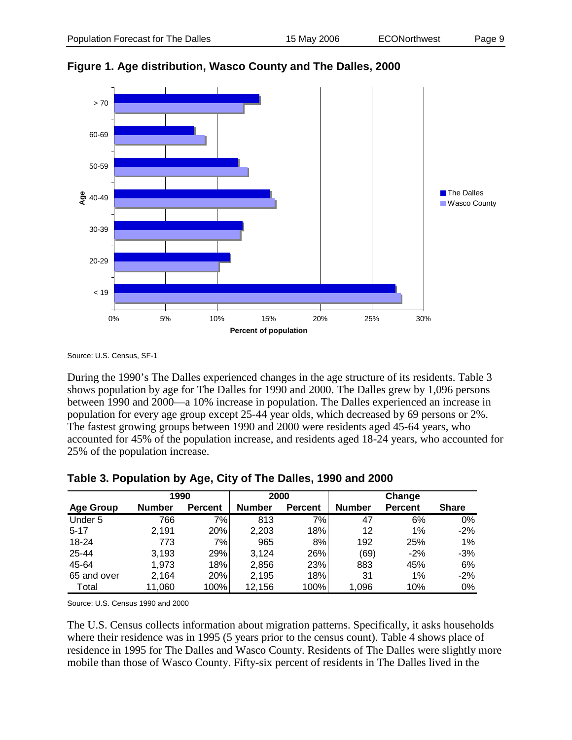

**Figure 1. Age distribution, Wasco County and The Dalles, 2000**

Source: U.S. Census, SF-1

During the 1990's The Dalles experienced changes in the age structure of its residents. Table 3 shows population by age for The Dalles for 1990 and 2000. The Dalles grew by 1,096 persons between 1990 and 2000—a 10% increase in population. The Dalles experienced an increase in population for every age group except 25-44 year olds, which decreased by 69 persons or 2%. The fastest growing groups between 1990 and 2000 were residents aged 45-64 years, who accounted for 45% of the population increase, and residents aged 18-24 years, who accounted for 25% of the population increase.

|                  | 1990          |                | 2000          |                |               | Change         |              |
|------------------|---------------|----------------|---------------|----------------|---------------|----------------|--------------|
| <b>Age Group</b> | <b>Number</b> | <b>Percent</b> | <b>Number</b> | <b>Percent</b> | <b>Number</b> | <b>Percent</b> | <b>Share</b> |
| Under 5          | 766           | 7%             | 813           | 7%             | 47            | 6%             | $0\%$        |
| $5 - 17$         | 2.191         | 20%            | 2,203         | 18%            | 12            | $1\%$          | $-2%$        |
| 18-24            | 773           | 7%             | 965           | 8%             | 192           | 25%            | $1\%$        |
| 25-44            | 3,193         | 29%            | 3.124         | 26%            | (69)          | $-2%$          | $-3%$        |
| 45-64            | 1,973         | 18%            | 2,856         | 23%            | 883           | 45%            | 6%           |
| 65 and over      | 2,164         | 20%            | 2,195         | 18%            | 31            | $1\%$          | $-2%$        |
| Total            | 11,060        | 100%           | 12,156        | 100%           | 1,096         | 10%            | 0%           |

**Table 3. Population by Age, City of The Dalles, 1990 and 2000**

Source: U.S. Census 1990 and 2000

The U.S. Census collects information about migration patterns. Specifically, it asks households where their residence was in 1995 (5 years prior to the census count). Table 4 shows place of residence in 1995 for The Dalles and Wasco County. Residents of The Dalles were slightly more mobile than those of Wasco County. Fifty-six percent of residents in The Dalles lived in the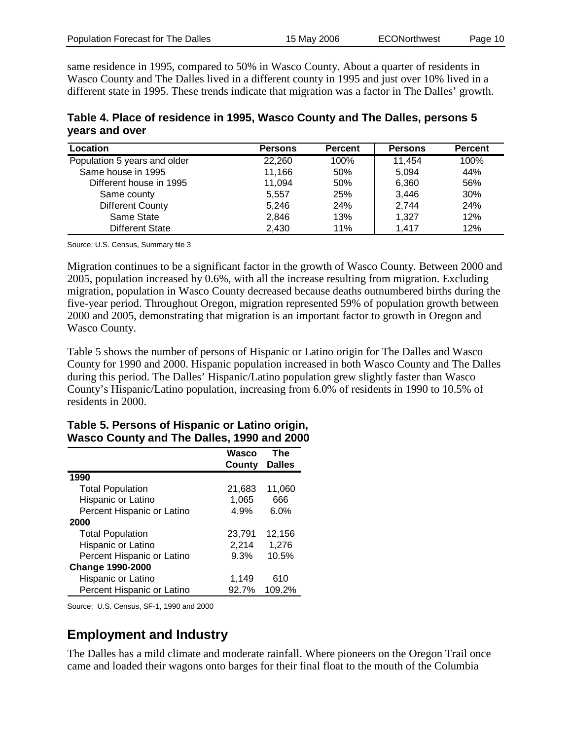same residence in 1995, compared to 50% in Wasco County. About a quarter of residents in Wasco County and The Dalles lived in a different county in 1995 and just over 10% lived in a different state in 1995. These trends indicate that migration was a factor in The Dalles' growth.

**Table 4. Place of residence in 1995, Wasco County and The Dalles, persons 5 years and over**

| Location                     | <b>Persons</b> | <b>Percent</b> | <b>Persons</b> | <b>Percent</b> |
|------------------------------|----------------|----------------|----------------|----------------|
| Population 5 years and older | 22,260         | 100%           | 11,454         | 100%           |
| Same house in 1995           | 11,166         | 50%            | 5.094          | 44%            |
| Different house in 1995      | 11,094         | 50%            | 6,360          | 56%            |
| Same county                  | 5.557          | 25%            | 3,446          | 30%            |
| <b>Different County</b>      | 5,246          | 24%            | 2,744          | 24%            |
| Same State                   | 2,846          | 13%            | 1.327          | 12%            |
| Different State              | 2,430          | 11%            | 1,417          | 12%            |

Source: U.S. Census, Summary file 3

Migration continues to be a significant factor in the growth of Wasco County. Between 2000 and 2005, population increased by 0.6%, with all the increase resulting from migration. Excluding migration, population in Wasco County decreased because deaths outnumbered births during the five-year period. Throughout Oregon, migration represented 59% of population growth between 2000 and 2005, demonstrating that migration is an important factor to growth in Oregon and Wasco County.

Table 5 shows the number of persons of Hispanic or Latino origin for The Dalles and Wasco County for 1990 and 2000. Hispanic population increased in both Wasco County and The Dalles during this period. The Dalles' Hispanic/Latino population grew slightly faster than Wasco County's Hispanic/Latino population, increasing from 6.0% of residents in 1990 to 10.5% of residents in 2000.

#### **Wasco County The Dalles 1990** Total Population 21,683 11,060 Hispanic or Latino 1,065 666 Percent Hispanic or Latino 4.9% 6.0% **2000** Total Population 23,791 12,156 Hispanic or Latino 2,214 1,276 Percent Hispanic or Latino 9.3% 10.5% **Change 1990-2000** Hispanic or Latino 1,149 610

Percent Hispanic or Latino 92.7% 109.2%

#### **Table 5. Persons of Hispanic or Latino origin, Wasco County and The Dalles, 1990 and 2000**

Source: U.S. Census, SF-1, 1990 and 2000

## **Employment and Industry**

The Dalles has a mild climate and moderate rainfall. Where pioneers on the Oregon Trail once came and loaded their wagons onto barges for their final float to the mouth of the Columbia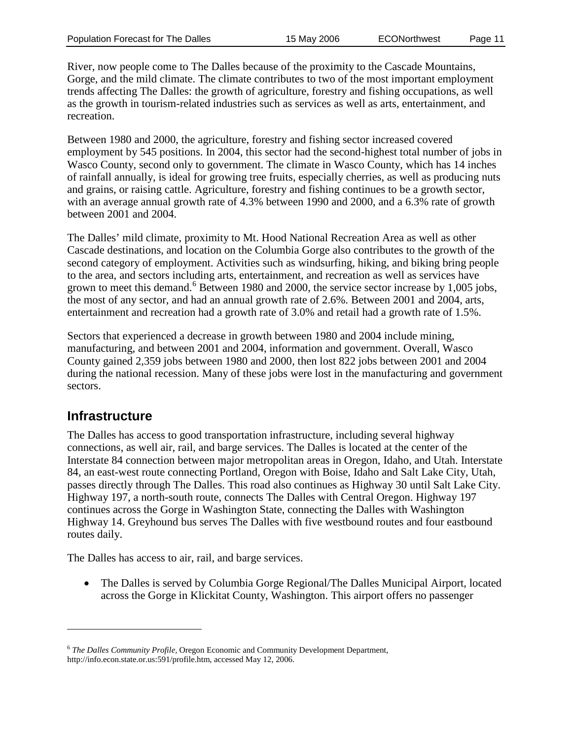River, now people come to The Dalles because of the proximity to the Cascade Mountains, Gorge, and the mild climate. The climate contributes to two of the most important employment trends affecting The Dalles: the growth of agriculture, forestry and fishing occupations, as well as the growth in tourism-related industries such as services as well as arts, entertainment, and recreation.

Between 1980 and 2000, the agriculture, forestry and fishing sector increased covered employment by 545 positions. In 2004, this sector had the second-highest total number of jobs in Wasco County, second only to government. The climate in Wasco County, which has 14 inches of rainfall annually, is ideal for growing tree fruits, especially cherries, as well as producing nuts and grains, or raising cattle. Agriculture, forestry and fishing continues to be a growth sector, with an average annual growth rate of 4.3% between 1990 and 2000, and a 6.3% rate of growth between 2001 and 2004.

The Dalles' mild climate, proximity to Mt. Hood National Recreation Area as well as other Cascade destinations, and location on the Columbia Gorge also contributes to the growth of the second category of employment. Activities such as windsurfing, hiking, and biking bring people to the area, and sectors including arts, entertainment, and recreation as well as services have grown to meet this demand.<sup>[6](#page-11-0)</sup> Between 1980 and 2000, the service sector increase by 1,005 jobs, the most of any sector, and had an annual growth rate of 2.6%. Between 2001 and 2004, arts, entertainment and recreation had a growth rate of 3.0% and retail had a growth rate of 1.5%.

Sectors that experienced a decrease in growth between 1980 and 2004 include mining, manufacturing, and between 2001 and 2004, information and government. Overall, Wasco County gained 2,359 jobs between 1980 and 2000, then lost 822 jobs between 2001 and 2004 during the national recession. Many of these jobs were lost in the manufacturing and government sectors.

## **Infrastructure**

 $\overline{a}$ 

The Dalles has access to good transportation infrastructure, including several highway connections, as well air, rail, and barge services. The Dalles is located at the center of the Interstate 84 connection between major metropolitan areas in Oregon, Idaho, and Utah. Interstate 84, an east-west route connecting Portland, Oregon with Boise, Idaho and Salt Lake City, Utah, passes directly through The Dalles. This road also continues as Highway 30 until Salt Lake City. Highway 197, a north-south route, connects The Dalles with Central Oregon. Highway 197 continues across the Gorge in Washington State, connecting the Dalles with Washington Highway 14. Greyhound bus serves The Dalles with five westbound routes and four eastbound routes daily.

The Dalles has access to air, rail, and barge services.

• The Dalles is served by Columbia Gorge Regional/The Dalles Municipal Airport, located across the Gorge in Klickitat County, Washington. This airport offers no passenger

<sup>6</sup> *The Dalles Community Profile,* Oregon Economic and Community Development Department, [http://info.econ.state.or.us:591/profile.htm,](http://info.econ.state.or.us:591/profile.htm) accessed May 12, 2006.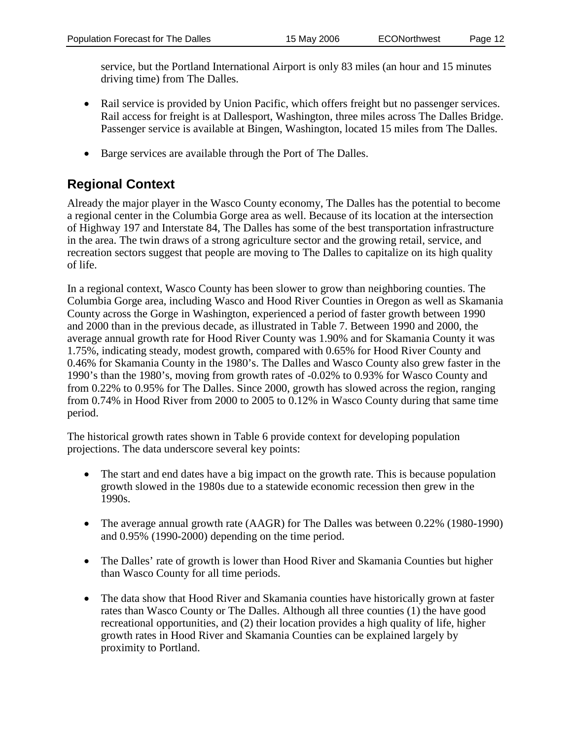service, but the Portland International Airport is only 83 miles (an hour and 15 minutes driving time) from The Dalles.

- Rail service is provided by Union Pacific, which offers freight but no passenger services. Rail access for freight is at Dallesport, Washington, three miles across The Dalles Bridge. Passenger service is available at Bingen, Washington, located 15 miles from The Dalles.
- Barge services are available through the Port of The Dalles.

# **Regional Context**

Already the major player in the Wasco County economy, The Dalles has the potential to become a regional center in the Columbia Gorge area as well. Because of its location at the intersection of Highway 197 and Interstate 84, The Dalles has some of the best transportation infrastructure in the area. The twin draws of a strong agriculture sector and the growing retail, service, and recreation sectors suggest that people are moving to The Dalles to capitalize on its high quality of life.

In a regional context, Wasco County has been slower to grow than neighboring counties. The Columbia Gorge area, including Wasco and Hood River Counties in Oregon as well as Skamania County across the Gorge in Washington, experienced a period of faster growth between 1990 and 2000 than in the previous decade, as illustrated in Table 7. Between 1990 and 2000, the average annual growth rate for Hood River County was 1.90% and for Skamania County it was 1.75%, indicating steady, modest growth, compared with 0.65% for Hood River County and 0.46% for Skamania County in the 1980's. The Dalles and Wasco County also grew faster in the 1990's than the 1980's, moving from growth rates of -0.02% to 0.93% for Wasco County and from 0.22% to 0.95% for The Dalles. Since 2000, growth has slowed across the region, ranging from 0.74% in Hood River from 2000 to 2005 to 0.12% in Wasco County during that same time period.

The historical growth rates shown in Table 6 provide context for developing population projections. The data underscore several key points:

- The start and end dates have a big impact on the growth rate. This is because population growth slowed in the 1980s due to a statewide economic recession then grew in the 1990s.
- The average annual growth rate (AAGR) for The Dalles was between 0.22% (1980-1990) and 0.95% (1990-2000) depending on the time period.
- The Dalles' rate of growth is lower than Hood River and Skamania Counties but higher than Wasco County for all time periods.
- <span id="page-11-0"></span>• The data show that Hood River and Skamania counties have historically grown at faster rates than Wasco County or The Dalles. Although all three counties (1) the have good recreational opportunities, and (2) their location provides a high quality of life, higher growth rates in Hood River and Skamania Counties can be explained largely by proximity to Portland.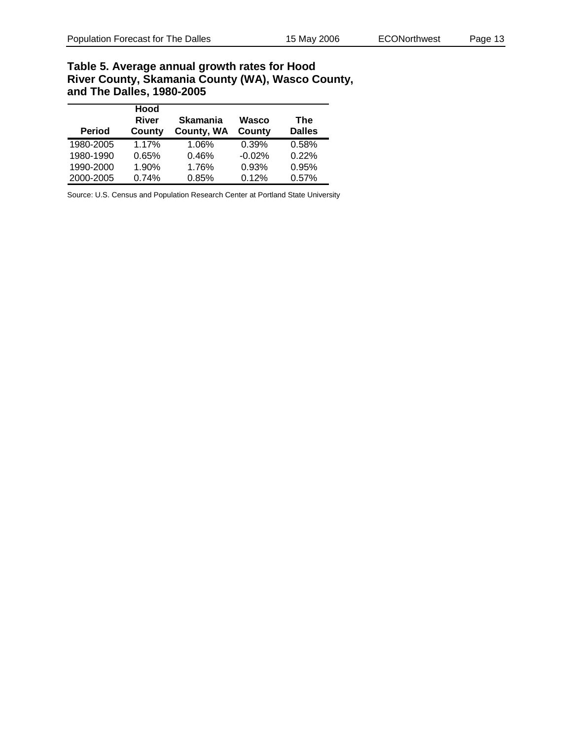### **Table 5. Average annual growth rates for Hood River County, Skamania County (WA), Wasco County, and The Dalles, 1980-2005**

| <b>Period</b> | Hood<br>River<br>County | <b>Skamania</b><br>County, WA | Wasco<br>County | The<br><b>Dalles</b> |
|---------------|-------------------------|-------------------------------|-----------------|----------------------|
| 1980-2005     | 1.17%                   | 1.06%                         | 0.39%           | 0.58%                |
| 1980-1990     | 0.65%                   | 0.46%                         | $-0.02%$        | 0.22%                |
| 1990-2000     | 1.90%                   | 1.76%                         | 0.93%           | 0.95%                |
| 2000-2005     | 0.74%                   | 0.85%                         | 0.12%           | 0.57%                |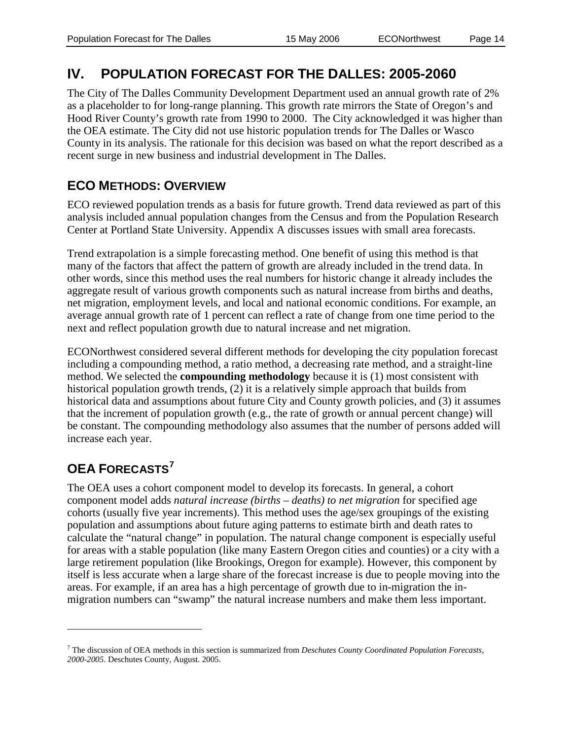# **IV. POPULATION FORECAST FOR THE DALLES: 2005-2060**

The City of The Dalles Community Development Department used an annual growth rate of 2% as a placeholder to for long-range planning. This growth rate mirrors the State of Oregon's and Hood River County's growth rate from 1990 to 2000. The City acknowledged it was higher than the OEA estimate. The City did not use historic population trends for The Dalles or Wasco County in its analysis. The rationale for this decision was based on what the report described as a recent surge in new business and industrial development in The Dalles.

## **ECO METHODS: OVERVIEW**

ECO reviewed population trends as a basis for future growth. Trend data reviewed as part of this analysis included annual population changes from the Census and from the Population Research Center at Portland State University. Appendix A discusses issues with small area forecasts.

Trend extrapolation is a simple forecasting method. One benefit of using this method is that many of the factors that affect the pattern of growth are already included in the trend data. In other words, since this method uses the real numbers for historic change it already includes the aggregate result of various growth components such as natural increase from births and deaths, net migration, employment levels, and local and national economic conditions. For example, an average annual growth rate of 1 percent can reflect a rate of change from one time period to the next and reflect population growth due to natural increase and net migration.

ECONorthwest considered several different methods for developing the city population forecast including a compounding method, a ratio method, a decreasing rate method, and a straight-line method. We selected the **compounding methodology** because it is (1) most consistent with historical population growth trends, (2) it is a relatively simple approach that builds from historical data and assumptions about future City and County growth policies, and (3) it assumes that the increment of population growth (e.g., the rate of growth or annual percent change) will be constant. The compounding methodology also assumes that the number of persons added will increase each year.

# **OEA FORECASTS[7](#page-14-0)**

 $\overline{a}$ 

The OEA uses a cohort component model to develop its forecasts. In general, a cohort component model adds *natural increase (births – deaths) to net migration* for specified age cohorts (usually five year increments). This method uses the age/sex groupings of the existing population and assumptions about future aging patterns to estimate birth and death rates to calculate the "natural change" in population. The natural change component is especially useful for areas with a stable population (like many Eastern Oregon cities and counties) or a city with a large retirement population (like Brookings, Oregon for example). However, this component by itself is less accurate when a large share of the forecast increase is due to people moving into the areas. For example, if an area has a high percentage of growth due to in-migration the inmigration numbers can "swamp" the natural increase numbers and make them less important.

<sup>7</sup> The discussion of OEA methods in this section is summarized from *Deschutes County Coordinated Population Forecasts, 2000-2005*. Deschutes County, August. 2005.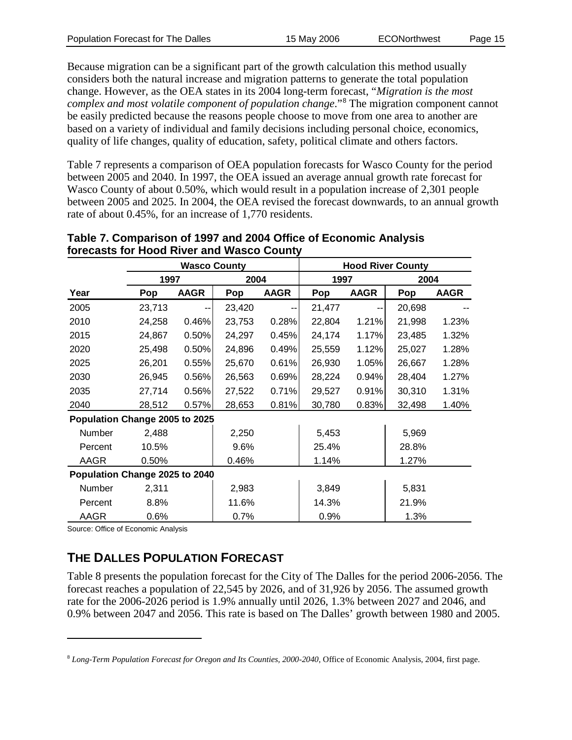Because migration can be a significant part of the growth calculation this method usually considers both the natural increase and migration patterns to generate the total population change. However, as the OEA states in its 2004 long-term forecast, "*Migration is the most complex and most volatile component of population change*."[8](#page-15-0) The migration component cannot be easily predicted because the reasons people choose to move from one area to another are based on a variety of individual and family decisions including personal choice, economics, quality of life changes, quality of education, safety, political climate and others factors.

Table 7 represents a comparison of OEA population forecasts for Wasco County for the period between 2005 and 2040. In 1997, the OEA issued an average annual growth rate forecast for Wasco County of about 0.50%, which would result in a population increase of 2,301 people between 2005 and 2025. In 2004, the OEA revised the forecast downwards, to an annual growth rate of about 0.45%, for an increase of 1,770 residents.

|                                | <b>Wasco County</b> |             |        | <b>Hood River County</b> |        |             |        |             |
|--------------------------------|---------------------|-------------|--------|--------------------------|--------|-------------|--------|-------------|
|                                | 1997                |             | 2004   |                          | 1997   |             | 2004   |             |
| Year                           | Pop                 | <b>AAGR</b> | Pop    | <b>AAGR</b>              | Pop    | <b>AAGR</b> | Pop    | <b>AAGR</b> |
| 2005                           | 23,713              | --          | 23,420 |                          | 21,477 |             | 20,698 |             |
| 2010                           | 24,258              | 0.46%       | 23,753 | 0.28%                    | 22,804 | 1.21%       | 21,998 | 1.23%       |
| 2015                           | 24,867              | 0.50%       | 24,297 | 0.45%                    | 24,174 | 1.17%       | 23,485 | 1.32%       |
| 2020                           | 25,498              | 0.50%       | 24,896 | 0.49%                    | 25,559 | 1.12%       | 25,027 | 1.28%       |
| 2025                           | 26,201              | 0.55%       | 25,670 | 0.61%                    | 26,930 | 1.05%       | 26,667 | 1.28%       |
| 2030                           | 26,945              | 0.56%       | 26,563 | 0.69%                    | 28,224 | 0.94%       | 28,404 | 1.27%       |
| 2035                           | 27,714              | 0.56%       | 27,522 | 0.71%                    | 29,527 | 0.91%       | 30,310 | 1.31%       |
| 2040                           | 28,512              | 0.57%       | 28,653 | 0.81%                    | 30,780 | 0.83%       | 32,498 | 1.40%       |
| Population Change 2005 to 2025 |                     |             |        |                          |        |             |        |             |
| <b>Number</b>                  | 2,488               |             | 2,250  |                          | 5,453  |             | 5,969  |             |
| Percent                        | 10.5%               |             | 9.6%   |                          | 25.4%  |             | 28.8%  |             |
| AAGR                           | 0.50%               |             | 0.46%  |                          | 1.14%  |             | 1.27%  |             |
| Population Change 2025 to 2040 |                     |             |        |                          |        |             |        |             |
| <b>Number</b>                  | 2,311               |             | 2,983  |                          | 3,849  |             | 5,831  |             |
| Percent                        | 8.8%                |             | 11.6%  |                          | 14.3%  |             | 21.9%  |             |
| AAGR                           | 0.6%                |             | 0.7%   |                          | 0.9%   |             | 1.3%   |             |

### **Table 7. Comparison of 1997 and 2004 Office of Economic Analysis forecasts for Hood River and Wasco County**

Source: Office of Economic Analysis

 $\overline{a}$ 

## **THE DALLES POPULATION FORECAST**

Table 8 presents the population forecast for the City of The Dalles for the period 2006-2056. The forecast reaches a population of 22,545 by 2026, and of 31,926 by 2056. The assumed growth rate for the 2006-2026 period is 1.9% annually until 2026, 1.3% between 2027 and 2046, and 0.9% between 2047 and 2056. This rate is based on The Dalles' growth between 1980 and 2005.

<span id="page-14-0"></span><sup>8</sup> *Long-Term Population Forecast for Oregon and Its Counties, 2000-2040*, Office of Economic Analysis, 2004, first page.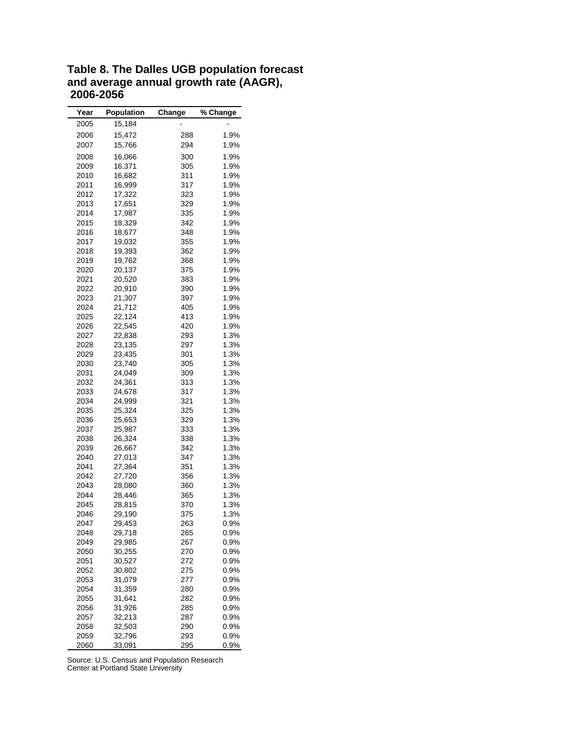<span id="page-15-0"></span>

| Year | <b>Population</b> | Change     | % Change |
|------|-------------------|------------|----------|
| 2005 | 15,184            |            |          |
| 2006 | 15,472            | 288        | 1.9%     |
|      |                   |            |          |
| 2007 | 15,766            | 294        | 1.9%     |
| 2008 | 16,066            | 300        | 1.9%     |
| 2009 | 16,371            | 305        | 1.9%     |
| 2010 | 16,682            | 311        | 1.9%     |
| 2011 | 16,999            | 317        | 1.9%     |
| 2012 | 17,322            | 323        | 1.9%     |
| 2013 | 17,651            | 329        | 1.9%     |
| 2014 | 17,987            | 335        | 1.9%     |
| 2015 | 18,329            | 342        | 1.9%     |
| 2016 | 18,677            | 348        | 1.9%     |
| 2017 | 19,032            | 355        | 1.9%     |
| 2018 | 19,393            | 362        | 1.9%     |
| 2019 | 19,762            | 368        | 1.9%     |
| 2020 | 20,137            | 375        | 1.9%     |
| 2021 | 20,520            | 383        | 1.9%     |
| 2022 | 20,910            | 390        | 1.9%     |
| 2023 | 21,307            | 397        | 1.9%     |
| 2024 | 21,712            | 405        | 1.9%     |
| 2025 | 22,124            | 413        | 1.9%     |
| 2026 | 22,545            | 420        | 1.9%     |
| 2027 | 22,838            | 293        | 1.3%     |
| 2028 | 23,135            | 297        | 1.3%     |
| 2029 | 23,435            | 301        | 1.3%     |
| 2030 | 23,740            | 305        | 1.3%     |
| 2031 | 24,049            | 309        | 1.3%     |
| 2032 | 24,361            | 313        | 1.3%     |
| 2033 | 24,678            | 317        | 1.3%     |
|      | 24,999            |            | 1.3%     |
| 2034 |                   | 321<br>325 | 1.3%     |
| 2035 | 25,324            |            |          |
| 2036 | 25,653            | 329        | 1.3%     |
| 2037 | 25,987            | 333        | 1.3%     |
| 2038 | 26,324            | 338        | 1.3%     |
| 2039 | 26,667            | 342        | 1.3%     |
| 2040 | 27,013            | 347        | 1.3%     |
| 2041 | 27,364            | 351        | 1.3%     |
| 2042 | 27,720            | 356        | 1.3%     |
| 2043 | 28,080            | 360        | 1.3%     |
| 2044 | 28,446            | 365        | 1.3%     |
| 2045 | 28,815            | 370        | 1.3%     |
| 2046 | 29,190            | 375        | 1.3%     |
| 2047 | 29,453            | 263        | 0.9%     |
| 2048 | 29,718            | 265        | 0.9%     |
| 2049 | 29,985            | 267        | 0.9%     |
| 2050 | 30,255            | 270        | 0.9%     |
| 2051 | 30,527            | 272        | 0.9%     |
| 2052 | 30,802            | 275        | 0.9%     |
| 2053 | 31,079            | 277        | 0.9%     |
| 2054 | 31,359            | 280        | 0.9%     |
| 2055 | 31,641            | 282        | 0.9%     |
| 2056 | 31,926            | 285        | 0.9%     |
| 2057 | 32,213            | 287        | 0.9%     |
| 2058 | 32,503            | 290        | 0.9%     |
| 2059 | 32,796            | 293        | 0.9%     |
| 2060 | 33,091            | 295        | 0.9%     |

**Table 8. The Dalles UGB population forecast and average annual growth rate (AAGR), 2006-2056**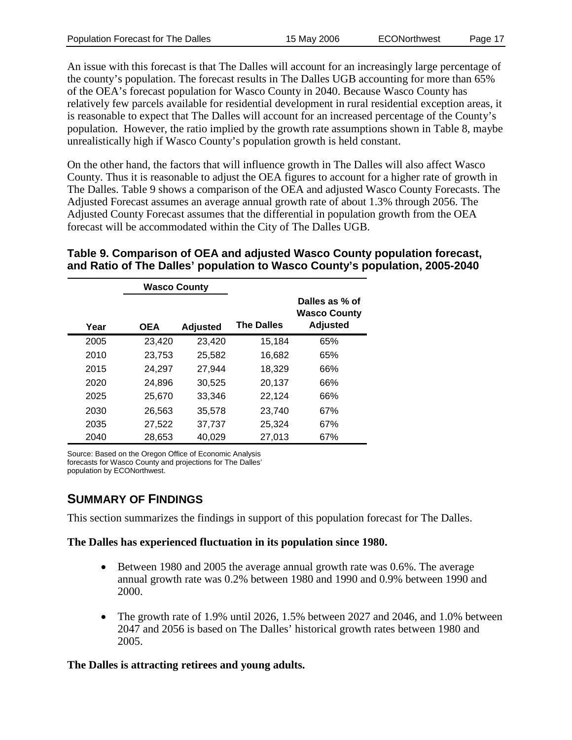An issue with this forecast is that The Dalles will account for an increasingly large percentage of the county's population. The forecast results in The Dalles UGB accounting for more than 65% of the OEA's forecast population for Wasco County in 2040. Because Wasco County has relatively few parcels available for residential development in rural residential exception areas, it is reasonable to expect that The Dalles will account for an increased percentage of the County's population. However, the ratio implied by the growth rate assumptions shown in Table 8, maybe unrealistically high if Wasco County's population growth is held constant.

On the other hand, the factors that will influence growth in The Dalles will also affect Wasco County. Thus it is reasonable to adjust the OEA figures to account for a higher rate of growth in The Dalles. Table 9 shows a comparison of the OEA and adjusted Wasco County Forecasts. The Adjusted Forecast assumes an average annual growth rate of about 1.3% through 2056. The Adjusted County Forecast assumes that the differential in population growth from the OEA forecast will be accommodated within the City of The Dalles UGB.

### **Table 9. Comparison of OEA and adjusted Wasco County population forecast, and Ratio of The Dalles' population to Wasco County's population, 2005-2040**

|      | <b>Wasco County</b> |                 |                   |                                                          |
|------|---------------------|-----------------|-------------------|----------------------------------------------------------|
| Year | <b>OEA</b>          | <b>Adjusted</b> | <b>The Dalles</b> | Dalles as % of<br><b>Wasco County</b><br><b>Adjusted</b> |
| 2005 | 23,420              | 23,420          | 15,184            | 65%                                                      |
| 2010 | 23,753              | 25,582          | 16,682            | 65%                                                      |
| 2015 | 24,297              | 27,944          | 18,329            | 66%                                                      |
| 2020 | 24.896              | 30.525          | 20,137            | 66%                                                      |
| 2025 | 25.670              | 33.346          | 22,124            | 66%                                                      |
| 2030 | 26.563              | 35,578          | 23,740            | 67%                                                      |
| 2035 | 27,522              | 37,737          | 25,324            | 67%                                                      |
| 2040 | 28,653              | 40,029          | 27,013            | 67%                                                      |

Source: Based on the Oregon Office of Economic Analysis forecasts for Wasco County and projections for The Dalles' population by ECONorthwest.

## **SUMMARY OF FINDINGS**

This section summarizes the findings in support of this population forecast for The Dalles.

### **The Dalles has experienced fluctuation in its population since 1980.**

- Between 1980 and 2005 the average annual growth rate was 0.6%. The average annual growth rate was 0.2% between 1980 and 1990 and 0.9% between 1990 and 2000.
- The growth rate of 1.9% until 2026, 1.5% between 2027 and 2046, and 1.0% between 2047 and 2056 is based on The Dalles' historical growth rates between 1980 and 2005.

### **The Dalles is attracting retirees and young adults.**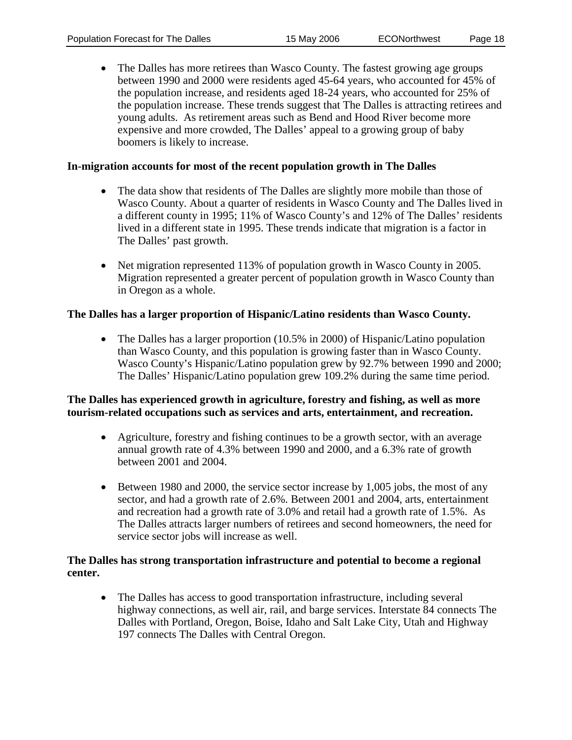• The Dalles has more retirees than Wasco County. The fastest growing age groups between 1990 and 2000 were residents aged 45-64 years, who accounted for 45% of the population increase, and residents aged 18-24 years, who accounted for 25% of the population increase. These trends suggest that The Dalles is attracting retirees and young adults. As retirement areas such as Bend and Hood River become more expensive and more crowded, The Dalles' appeal to a growing group of baby boomers is likely to increase.

#### **In-migration accounts for most of the recent population growth in The Dalles**

- The data show that residents of The Dalles are slightly more mobile than those of Wasco County. About a quarter of residents in Wasco County and The Dalles lived in a different county in 1995; 11% of Wasco County's and 12% of The Dalles' residents lived in a different state in 1995. These trends indicate that migration is a factor in The Dalles' past growth.
- Net migration represented 113% of population growth in Wasco County in 2005. Migration represented a greater percent of population growth in Wasco County than in Oregon as a whole.

#### **The Dalles has a larger proportion of Hispanic/Latino residents than Wasco County.**

• The Dalles has a larger proportion (10.5% in 2000) of Hispanic/Latino population than Wasco County, and this population is growing faster than in Wasco County. Wasco County's Hispanic/Latino population grew by 92.7% between 1990 and 2000; The Dalles' Hispanic/Latino population grew 109.2% during the same time period.

#### **The Dalles has experienced growth in agriculture, forestry and fishing, as well as more tourism-related occupations such as services and arts, entertainment, and recreation.**

- Agriculture, forestry and fishing continues to be a growth sector, with an average annual growth rate of 4.3% between 1990 and 2000, and a 6.3% rate of growth between 2001 and 2004.
- Between 1980 and 2000, the service sector increase by 1,005 jobs, the most of any sector, and had a growth rate of 2.6%. Between 2001 and 2004, arts, entertainment and recreation had a growth rate of 3.0% and retail had a growth rate of 1.5%. As The Dalles attracts larger numbers of retirees and second homeowners, the need for service sector jobs will increase as well.

#### **The Dalles has strong transportation infrastructure and potential to become a regional center.**

• The Dalles has access to good transportation infrastructure, including several highway connections, as well air, rail, and barge services. Interstate 84 connects The Dalles with Portland, Oregon, Boise, Idaho and Salt Lake City, Utah and Highway 197 connects The Dalles with Central Oregon.